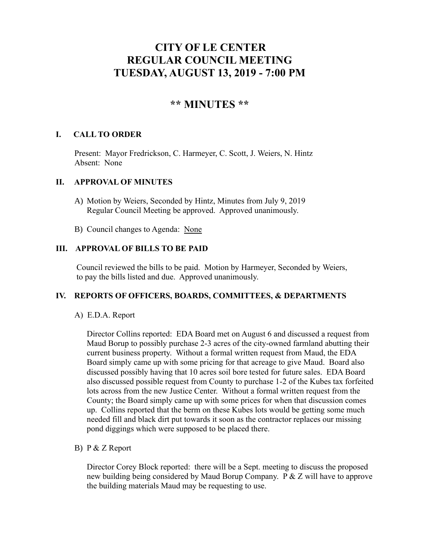# **CITY OF LE CENTER REGULAR COUNCIL MEETING TUESDAY, AUGUST 13, 2019 - 7:00 PM**

## **\*\* MINUTES \*\***

## **I. CALL TO ORDER**

Present: Mayor Fredrickson, C. Harmeyer, C. Scott, J. Weiers, N. Hintz Absent: None

## **II. APPROVAL OF MINUTES**

- A) Motion by Weiers, Seconded by Hintz, Minutes from July 9, 2019 Regular Council Meeting be approved. Approved unanimously.
- B) Council changes to Agenda: None

## **III. APPROVAL OF BILLS TO BE PAID**

Council reviewed the bills to be paid. Motion by Harmeyer, Seconded by Weiers, to pay the bills listed and due. Approved unanimously.

#### **IV. REPORTS OF OFFICERS, BOARDS, COMMITTEES, & DEPARTMENTS**

A) E.D.A. Report

 Director Collins reported: EDA Board met on August 6 and discussed a request from Maud Borup to possibly purchase 2-3 acres of the city-owned farmland abutting their current business property. Without a formal written request from Maud, the EDA Board simply came up with some pricing for that acreage to give Maud. Board also discussed possibly having that 10 acres soil bore tested for future sales. EDA Board also discussed possible request from County to purchase 1-2 of the Kubes tax forfeited lots across from the new Justice Center. Without a formal written request from the County; the Board simply came up with some prices for when that discussion comes up. Collins reported that the berm on these Kubes lots would be getting some much needed fill and black dirt put towards it soon as the contractor replaces our missing pond diggings which were supposed to be placed there.

#### B) P & Z Report

Director Corey Block reported: there will be a Sept. meeting to discuss the proposed new building being considered by Maud Borup Company. P & Z will have to approve the building materials Maud may be requesting to use.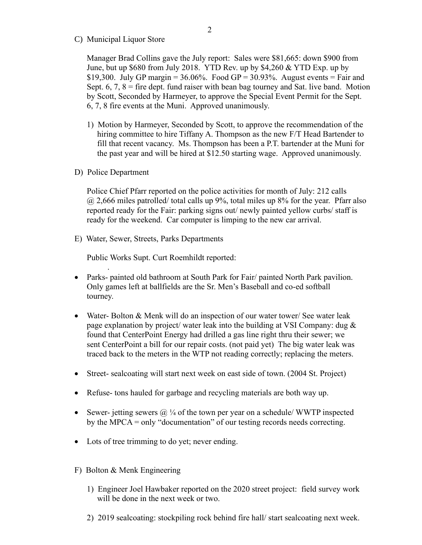C) Municipal Liquor Store

Manager Brad Collins gave the July report: Sales were \$81,665: down \$900 from June, but up \$680 from July 2018. YTD Rev. up by \$4,260 & YTD Exp. up by \$19,300. July GP margin =  $36.06\%$ . Food GP =  $30.93\%$ . August events = Fair and Sept.  $6, 7, 8$  = fire dept. fund raiser with bean bag tourney and Sat. live band. Motion by Scott, Seconded by Harmeyer, to approve the Special Event Permit for the Sept. 6, 7, 8 fire events at the Muni. Approved unanimously.

- 1) Motion by Harmeyer, Seconded by Scott, to approve the recommendation of the hiring committee to hire Tiffany A. Thompson as the new F/T Head Bartender to fill that recent vacancy. Ms. Thompson has been a P.T. bartender at the Muni for the past year and will be hired at \$12.50 starting wage. Approved unanimously.
- D) Police Department

.

Police Chief Pfarr reported on the police activities for month of July: 212 calls  $(a)$  2,666 miles patrolled/ total calls up 9%, total miles up 8% for the year. Pfarr also reported ready for the Fair: parking signs out/ newly painted yellow curbs/ staff is ready for the weekend. Car computer is limping to the new car arrival.

E) Water, Sewer, Streets, Parks Departments

Public Works Supt. Curt Roemhildt reported:

- Parks- painted old bathroom at South Park for Fair/ painted North Park pavilion. Only games left at ballfields are the Sr. Men's Baseball and co-ed softball tourney.
- Water- Bolton & Menk will do an inspection of our water tower/ See water leak page explanation by project/ water leak into the building at VSI Company: dug & found that CenterPoint Energy had drilled a gas line right thru their sewer; we sent CenterPoint a bill for our repair costs. (not paid yet) The big water leak was traced back to the meters in the WTP not reading correctly; replacing the meters.
- Street- sealcoating will start next week on east side of town. (2004 St. Project)
- Refuse- tons hauled for garbage and recycling materials are both way up.
- Sewer- jetting sewers  $\mathbb{Q}/4$  of the town per year on a schedule/ WWTP inspected by the MPCA = only "documentation" of our testing records needs correcting.
- Lots of tree trimming to do yet; never ending.
- F) Bolton & Menk Engineering
	- 1) Engineer Joel Hawbaker reported on the 2020 street project: field survey work will be done in the next week or two.
	- 2) 2019 sealcoating: stockpiling rock behind fire hall/ start sealcoating next week.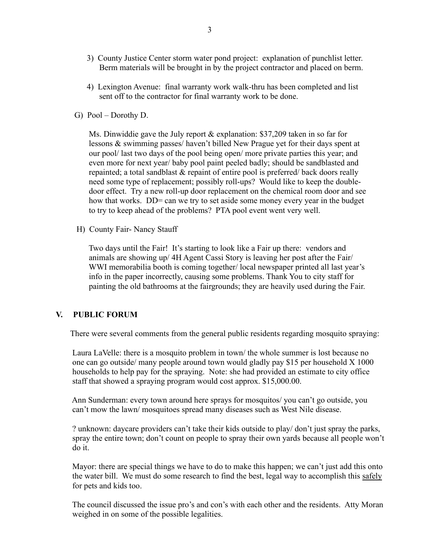- 3) County Justice Center storm water pond project: explanation of punchlist letter. Berm materials will be brought in by the project contractor and placed on berm.
- 4) Lexington Avenue: final warranty work walk-thru has been completed and list sent off to the contractor for final warranty work to be done.
- G) Pool Dorothy D.

 Ms. Dinwiddie gave the July report & explanation: \$37,209 taken in so far for lessons & swimming passes/ haven't billed New Prague yet for their days spent at our pool/ last two days of the pool being open/ more private parties this year; and even more for next year/ baby pool paint peeled badly; should be sandblasted and repainted; a total sandblast & repaint of entire pool is preferred/ back doors really need some type of replacement; possibly roll-ups? Would like to keep the double door effect. Try a new roll-up door replacement on the chemical room door and see how that works. DD= can we try to set aside some money every year in the budget to try to keep ahead of the problems? PTA pool event went very well.

H) County Fair- Nancy Stauff

 Two days until the Fair! It's starting to look like a Fair up there: vendors and animals are showing up/ 4H Agent Cassi Story is leaving her post after the Fair/ WWI memorabilia booth is coming together/ local newspaper printed all last year's info in the paper incorrectly, causing some problems. Thank You to city staff for painting the old bathrooms at the fairgrounds; they are heavily used during the Fair.

## **V. PUBLIC FORUM**

There were several comments from the general public residents regarding mosquito spraying:

 Laura LaVelle: there is a mosquito problem in town/ the whole summer is lost because no one can go outside/ many people around town would gladly pay \$15 per household X 1000 households to help pay for the spraying. Note: she had provided an estimate to city office staff that showed a spraying program would cost approx. \$15,000.00.

 Ann Sunderman: every town around here sprays for mosquitos/ you can't go outside, you can't mow the lawn/ mosquitoes spread many diseases such as West Nile disease.

 ? unknown: daycare providers can't take their kids outside to play/ don't just spray the parks, spray the entire town; don't count on people to spray their own yards because all people won't do it.

 Mayor: there are special things we have to do to make this happen; we can't just add this onto the water bill. We must do some research to find the best, legal way to accomplish this safely for pets and kids too.

 The council discussed the issue pro's and con's with each other and the residents. Atty Moran weighed in on some of the possible legalities.